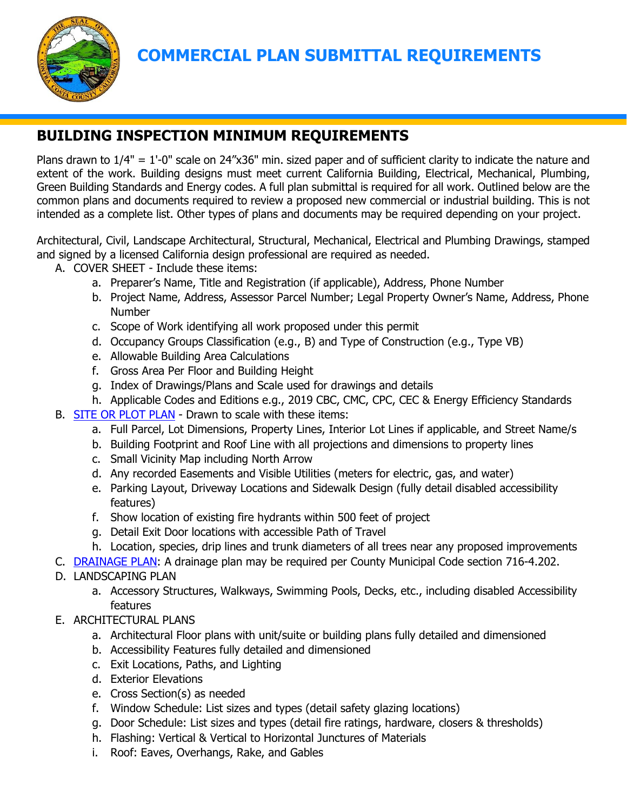

**COMMERCIAL PLAN SUBMITTAL REQUIREMENTS**

## **BUILDING INSPECTION MINIMUM REQUIREMENTS**

Plans drawn to  $1/4$ " = 1'-0" scale on 24"x36" min. sized paper and of sufficient clarity to indicate the nature and extent of the work. Building designs must meet current California Building, Electrical, Mechanical, Plumbing, Green Building Standards and Energy codes. A full plan submittal is required for all work. Outlined below are the common plans and documents required to review a proposed new commercial or industrial building. This is not intended as a complete list. Other types of plans and documents may be required depending on your project.

Architectural, Civil, Landscape Architectural, Structural, Mechanical, Electrical and Plumbing Drawings, stamped and signed by a licensed California design professional are required as needed.

- A. COVER SHEET Include these items:
	- a. Preparer's Name, Title and Registration (if applicable), Address, Phone Number
	- b. Project Name, Address, Assessor Parcel Number; Legal Property Owner's Name, Address, Phone Number
	- c. Scope of Work identifying all work proposed under this permit
	- d. Occupancy Groups Classification (e.g., B) and Type of Construction (e.g., Type VB)
	- e. Allowable Building Area Calculations
	- f. Gross Area Per Floor and Building Height
	- g. Index of Drawings/Plans and Scale used for drawings and details
	- h. Applicable Codes and Editions e.g., 2019 CBC, CMC, CPC, CEC & Energy Efficiency Standards
- B. [SITE OR PLOT PLAN](http://www.contracosta.ca.gov/DocumentCenter/View/50700/HOW-TO-CALCULATE-A-SMALL-LOT) Drawn to scale with these items:
	- a. Full Parcel, Lot Dimensions, Property Lines, Interior Lot Lines if applicable, and Street Name/s
	- b. Building Footprint and Roof Line with all projections and dimensions to property lines
	- c. Small Vicinity Map including North Arrow
	- d. Any recorded Easements and Visible Utilities (meters for electric, gas, and water)
	- e. Parking Layout, Driveway Locations and Sidewalk Design (fully detail disabled accessibility features)
	- f. Show location of existing fire hydrants within 500 feet of project
	- g. Detail Exit Door locations with accessible Path of Travel
	- h. Location, species, drip lines and trunk diameters of all trees near any proposed improvements
- C. [DRAINAGE PLAN:](https://library.municode.com/ca/contra_costa_county/codes/ordinance_code?nodeId=TIT7BURE_DIV74BUCO_CH74-6PEDRST_74-6.012DRPL) A drainage plan may be required per County Municipal Code section 716-4.202.
- D. LANDSCAPING PLAN
	- a. Accessory Structures, Walkways, Swimming Pools, Decks, etc., including disabled Accessibility features
- E. ARCHITECTURAL PLANS
	- a. Architectural Floor plans with unit/suite or building plans fully detailed and dimensioned
	- b. Accessibility Features fully detailed and dimensioned
	- c. Exit Locations, Paths, and Lighting
	- d. Exterior Elevations
	- e. Cross Section(s) as needed
	- f. Window Schedule: List sizes and types (detail safety glazing locations)
	- g. Door Schedule: List sizes and types (detail fire ratings, hardware, closers & thresholds)
	- h. Flashing: Vertical & Vertical to Horizontal Junctures of Materials
	- i. Roof: Eaves, Overhangs, Rake, and Gables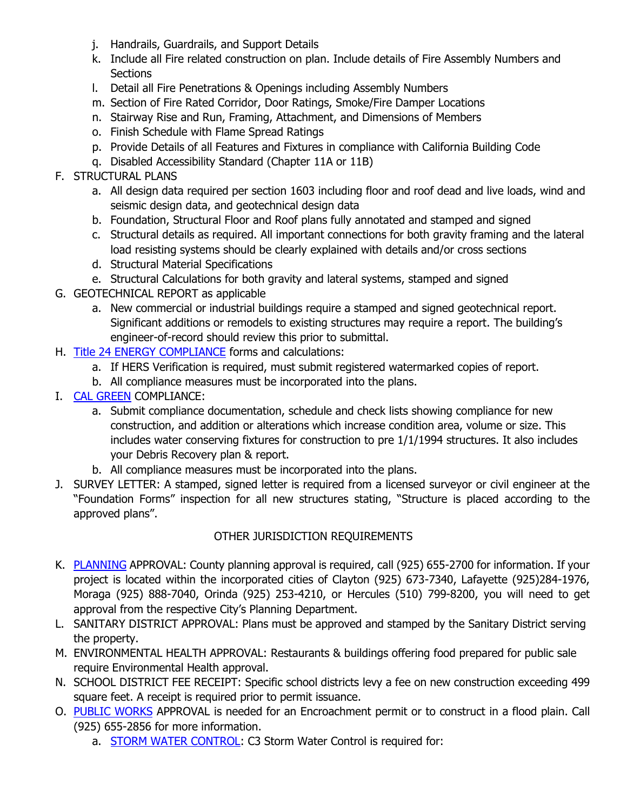- j. Handrails, Guardrails, and Support Details
- k. Include all Fire related construction on plan. Include details of Fire Assembly Numbers and **Sections**
- l. Detail all Fire Penetrations & Openings including Assembly Numbers
- m. Section of Fire Rated Corridor, Door Ratings, Smoke/Fire Damper Locations
- n. Stairway Rise and Run, Framing, Attachment, and Dimensions of Members
- o. Finish Schedule with Flame Spread Ratings
- p. Provide Details of all Features and Fixtures in compliance with California Building Code
- q. Disabled Accessibility Standard (Chapter 11A or 11B)

## F. STRUCTURAL PLANS

- a. All design data required per section 1603 including floor and roof dead and live loads, wind and seismic design data, and geotechnical design data
- b. Foundation, Structural Floor and Roof plans fully annotated and stamped and signed
- c. Structural details as required. All important connections for both gravity framing and the lateral load resisting systems should be clearly explained with details and/or cross sections
- d. Structural Material Specifications
- e. Structural Calculations for both gravity and lateral systems, stamped and signed
- G. GEOTECHNICAL REPORT as applicable
	- a. New commercial or industrial buildings require a stamped and signed geotechnical report. Significant additions or remodels to existing structures may require a report. The building's engineer-of-record should review this prior to submittal.
- H. [Title 24 ENERGY COMPLIANCE](https://www.energy.ca.gov/programs-and-topics/programs/building-energy-efficiency-standards/2019-building-energy-efficiency) forms and calculations:
	- a. If HERS Verification is required, must submit registered watermarked copies of report.
	- b. All compliance measures must be incorporated into the plans.
- I. [CAL GREEN](https://contracosta.ca.gov/4746/CalGreen-Construction-Demolition-Debris-) COMPLIANCE:
	- a. Submit compliance documentation, schedule and check lists showing compliance for new construction, and addition or alterations which increase condition area, volume or size. This includes water conserving fixtures for construction to pre 1/1/1994 structures. It also includes your Debris Recovery plan & report.
	- b. All compliance measures must be incorporated into the plans.
- J. SURVEY LETTER: A stamped, signed letter is required from a licensed surveyor or civil engineer at the "Foundation Forms" inspection for all new structures stating, "Structure is placed according to the approved plans".

## OTHER JURISDICTION REQUIREMENTS

- K. [PLANNING](https://www.contracosta.ca.gov/7281/Permit-Portal) APPROVAL: County planning approval is required, call (925) 655-2700 for information. If your project is located within the incorporated cities of Clayton (925) 673-7340, Lafayette (925)284-1976, Moraga (925) 888-7040, Orinda (925) 253-4210, or Hercules (510) 799-8200, you will need to get approval from the respective City's Planning Department.
- L. SANITARY DISTRICT APPROVAL: Plans must be approved and stamped by the Sanitary District serving the property.
- M. ENVIRONMENTAL HEALTH APPROVAL: Restaurants & buildings offering food prepared for public sale require Environmental Health approval.
- N. SCHOOL DISTRICT FEE RECEIPT: Specific school districts levy a fee on new construction exceeding 499 square feet. A receipt is required prior to permit issuance.
- O. [PUBLIC WORKS](https://www.bing.com/search?q=contra+costa+county+public+works+department&cvid=cdf6687689824b628080c498ec7264dc&aqs=edge.1.0l9.8966j0j1&FORM=ANAB01&PC=DCTS) APPROVAL is needed for an Encroachment permit or to construct in a flood plain. Call (925) 655-2856 for more information.
	- a. [STORM WATER CONTROL:](https://www.cccleanwater.org/development-infrastructure) C3 Storm Water Control is required for: